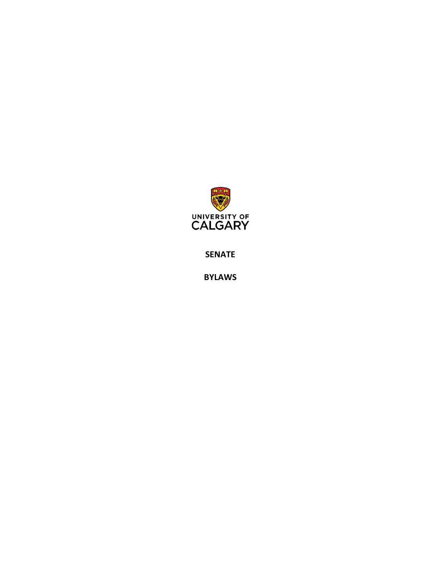

**SENATE**

**BYLAWS**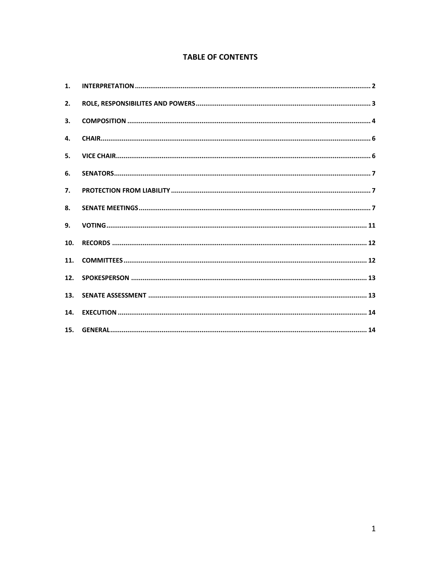# **TABLE OF CONTENTS**

| 1.  |  |
|-----|--|
| 2.  |  |
| 3.  |  |
| 4.  |  |
| 5.  |  |
| 6.  |  |
| 7.  |  |
| 8.  |  |
| 9.  |  |
| 10. |  |
| 11. |  |
| 12. |  |
| 13. |  |
| 14. |  |
| 15. |  |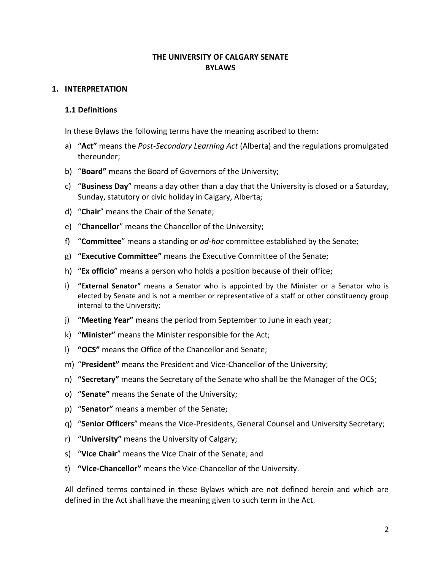## **THE UNIVERSITY OF CALGARY SENATE BYLAWS**

### <span id="page-2-0"></span>**1. INTERPRETATION**

#### **1.1 Definitions**

In these Bylaws the following terms have the meaning ascribed to them:

- a) "**Act"** means the *Post-Secondary Learning Act* (Alberta) and the regulations promulgated thereunder;
- b) "**Board"** means the Board of Governors of the University;
- c) "**Business Day**" means a day other than a day that the University is closed or a Saturday, Sunday, statutory or civic holiday in Calgary, Alberta;
- d) "**Chair**" means the Chair of the Senate;
- e) "**Chancellor**" means the Chancellor of the University;
- f) "**Committee**" means a standing or *ad-hoc* committee established by the Senate;
- g) **"Executive Committee"** means the Executive Committee of the Senate;
- h) "**Ex officio**" means a person who holds a position because of their office;
- i) **"External Senator"** means a Senator who is appointed by the Minister or a Senator who is elected by Senate and is not a member or representative of a staff or other constituency group internal to the University;
- j) **"Meeting Year"** means the period from September to June in each year;
- k) "**Minister"** means the Minister responsible for the Act;
- l) **"OCS"** means the Office of the Chancellor and Senate;
- m) "**President"** means the President and Vice-Chancellor of the University;
- n) **"Secretary"** means the Secretary of the Senate who shall be the Manager of the OCS;
- o) "**Senate"** means the Senate of the University;
- p) "**Senator"** means a member of the Senate;
- q) "**Senior Officers**" means the Vice-Presidents, General Counsel and University Secretary;
- r) "**University"** means the University of Calgary;
- s) "**Vice Chair**" means the Vice Chair of the Senate; and
- t) **"Vice-Chancellor"** means the Vice-Chancellor of the University.

All defined terms contained in these Bylaws which are not defined herein and which are defined in the Act shall have the meaning given to such term in the Act.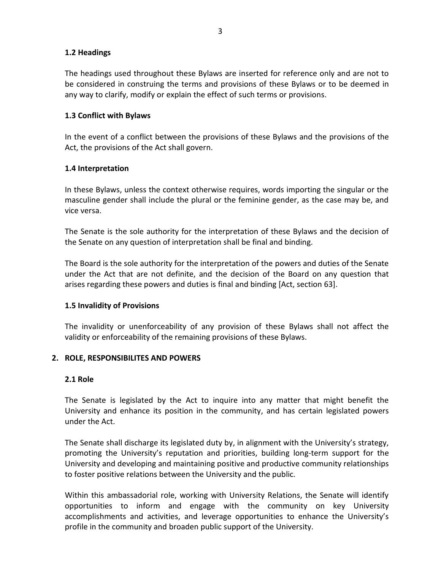## **1.2 Headings**

The headings used throughout these Bylaws are inserted for reference only and are not to be considered in construing the terms and provisions of these Bylaws or to be deemed in any way to clarify, modify or explain the effect of such terms or provisions.

## **1.3 Conflict with Bylaws**

In the event of a conflict between the provisions of these Bylaws and the provisions of the Act, the provisions of the Act shall govern.

## **1.4 Interpretation**

In these Bylaws, unless the context otherwise requires, words importing the singular or the masculine gender shall include the plural or the feminine gender, as the case may be, and vice versa.

The Senate is the sole authority for the interpretation of these Bylaws and the decision of the Senate on any question of interpretation shall be final and binding.

The Board is the sole authority for the interpretation of the powers and duties of the Senate under the Act that are not definite, and the decision of the Board on any question that arises regarding these powers and duties is final and binding [Act, section 63].

### **1.5 Invalidity of Provisions**

The invalidity or unenforceability of any provision of these Bylaws shall not affect the validity or enforceability of the remaining provisions of these Bylaws.

### <span id="page-3-0"></span>**2. ROLE, RESPONSIBILITES AND POWERS**

### **2.1 Role**

The Senate is legislated by the Act to inquire into any matter that might benefit the University and enhance its position in the community, and has certain legislated powers under the Act.

The Senate shall discharge its legislated duty by, in alignment with the University's strategy, promoting the University's reputation and priorities, building long-term support for the University and developing and maintaining positive and productive community relationships to foster positive relations between the University and the public.

Within this ambassadorial role, working with University Relations, the Senate will identify opportunities to inform and engage with the community on key University accomplishments and activities, and leverage opportunities to enhance the University's profile in the community and broaden public support of the University.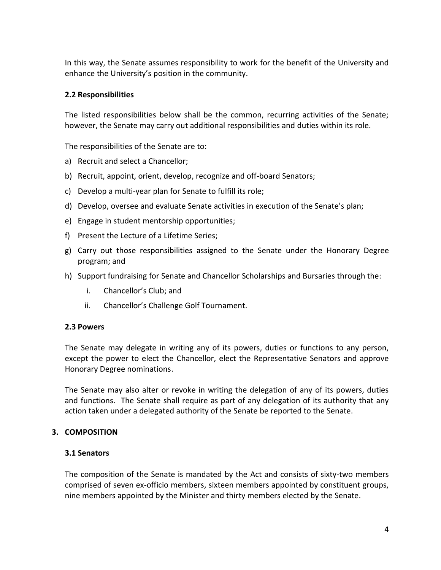In this way, the Senate assumes responsibility to work for the benefit of the University and enhance the University's position in the community.

## **2.2 Responsibilities**

The listed responsibilities below shall be the common, recurring activities of the Senate; however, the Senate may carry out additional responsibilities and duties within its role.

The responsibilities of the Senate are to:

- a) Recruit and select a Chancellor;
- b) Recruit, appoint, orient, develop, recognize and off-board Senators;
- c) Develop a multi-year plan for Senate to fulfill its role;
- d) Develop, oversee and evaluate Senate activities in execution of the Senate's plan;
- e) Engage in student mentorship opportunities;
- f) Present the Lecture of a Lifetime Series;
- g) Carry out those responsibilities assigned to the Senate under the Honorary Degree program; and
- h) Support fundraising for Senate and Chancellor Scholarships and Bursaries through the:
	- i. Chancellor's Club; and
	- ii. Chancellor's Challenge Golf Tournament.

#### **2.3 Powers**

The Senate may delegate in writing any of its powers, duties or functions to any person, except the power to elect the Chancellor, elect the Representative Senators and approve Honorary Degree nominations.

The Senate may also alter or revoke in writing the delegation of any of its powers, duties and functions. The Senate shall require as part of any delegation of its authority that any action taken under a delegated authority of the Senate be reported to the Senate.

### <span id="page-4-0"></span>**3. COMPOSITION**

#### **3.1 Senators**

The composition of the Senate is mandated by the Act and consists of sixty-two members comprised of seven ex-officio members, sixteen members appointed by constituent groups, nine members appointed by the Minister and thirty members elected by the Senate.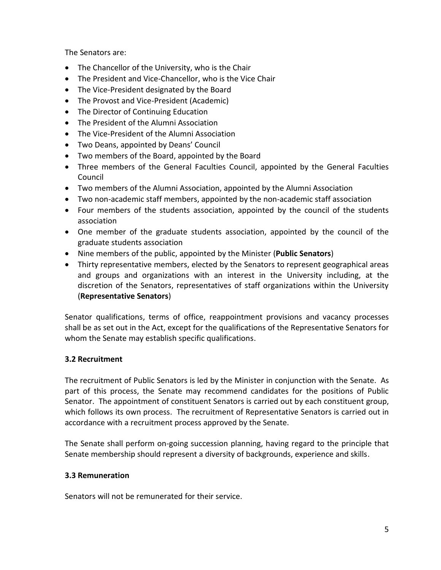The Senators are:

- The Chancellor of the University, who is the Chair
- The President and Vice-Chancellor, who is the Vice Chair
- The Vice-President designated by the Board
- The Provost and Vice-President (Academic)
- The Director of Continuing Education
- The President of the Alumni Association
- The Vice-President of the Alumni Association
- Two Deans, appointed by Deans' Council
- Two members of the Board, appointed by the Board
- Three members of the General Faculties Council, appointed by the General Faculties Council
- Two members of the Alumni Association, appointed by the Alumni Association
- Two non-academic staff members, appointed by the non-academic staff association
- Four members of the students association, appointed by the council of the students association
- One member of the graduate students association, appointed by the council of the graduate students association
- Nine members of the public, appointed by the Minister (**Public Senators**)
- Thirty representative members, elected by the Senators to represent geographical areas and groups and organizations with an interest in the University including, at the discretion of the Senators, representatives of staff organizations within the University (**Representative Senators**)

Senator qualifications, terms of office, reappointment provisions and vacancy processes shall be as set out in the Act, except for the qualifications of the Representative Senators for whom the Senate may establish specific qualifications.

# **3.2 Recruitment**

The recruitment of Public Senators is led by the Minister in conjunction with the Senate. As part of this process, the Senate may recommend candidates for the positions of Public Senator. The appointment of constituent Senators is carried out by each constituent group, which follows its own process. The recruitment of Representative Senators is carried out in accordance with a recruitment process approved by the Senate.

The Senate shall perform on-going succession planning, having regard to the principle that Senate membership should represent a diversity of backgrounds, experience and skills.

# **3.3 Remuneration**

Senators will not be remunerated for their service.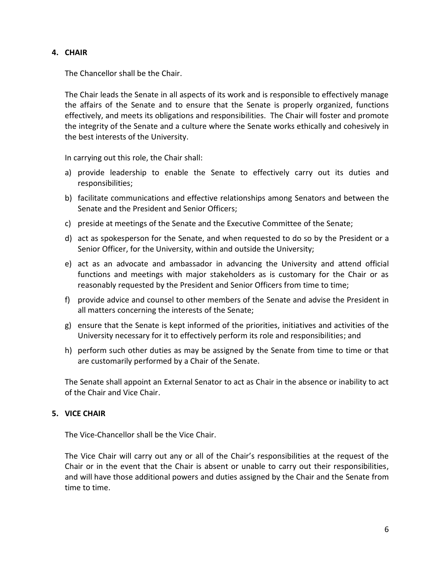## <span id="page-6-0"></span>**4. CHAIR**

The Chancellor shall be the Chair.

The Chair leads the Senate in all aspects of its work and is responsible to effectively manage the affairs of the Senate and to ensure that the Senate is properly organized, functions effectively, and meets its obligations and responsibilities. The Chair will foster and promote the integrity of the Senate and a culture where the Senate works ethically and cohesively in the best interests of the University.

In carrying out this role, the Chair shall:

- a) provide leadership to enable the Senate to effectively carry out its duties and responsibilities;
- b) facilitate communications and effective relationships among Senators and between the Senate and the President and Senior Officers;
- c) preside at meetings of the Senate and the Executive Committee of the Senate;
- d) act as spokesperson for the Senate, and when requested to do so by the President or a Senior Officer, for the University, within and outside the University;
- e) act as an advocate and ambassador in advancing the University and attend official functions and meetings with major stakeholders as is customary for the Chair or as reasonably requested by the President and Senior Officers from time to time;
- f) provide advice and counsel to other members of the Senate and advise the President in all matters concerning the interests of the Senate;
- g) ensure that the Senate is kept informed of the priorities, initiatives and activities of the University necessary for it to effectively perform its role and responsibilities; and
- h) perform such other duties as may be assigned by the Senate from time to time or that are customarily performed by a Chair of the Senate.

The Senate shall appoint an External Senator to act as Chair in the absence or inability to act of the Chair and Vice Chair.

# <span id="page-6-1"></span>**5. VICE CHAIR**

The Vice-Chancellor shall be the Vice Chair.

The Vice Chair will carry out any or all of the Chair's responsibilities at the request of the Chair or in the event that the Chair is absent or unable to carry out their responsibilities, and will have those additional powers and duties assigned by the Chair and the Senate from time to time.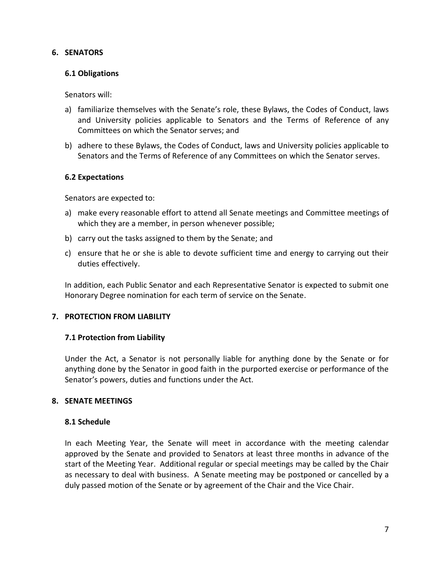### <span id="page-7-0"></span>**6. SENATORS**

## **6.1 Obligations**

Senators will:

- a) familiarize themselves with the Senate's role, these Bylaws, the Codes of Conduct, laws and University policies applicable to Senators and the Terms of Reference of any Committees on which the Senator serves; and
- b) adhere to these Bylaws, the Codes of Conduct, laws and University policies applicable to Senators and the Terms of Reference of any Committees on which the Senator serves.

## **6.2 Expectations**

Senators are expected to:

- a) make every reasonable effort to attend all Senate meetings and Committee meetings of which they are a member, in person whenever possible;
- b) carry out the tasks assigned to them by the Senate; and
- c) ensure that he or she is able to devote sufficient time and energy to carrying out their duties effectively.

In addition, each Public Senator and each Representative Senator is expected to submit one Honorary Degree nomination for each term of service on the Senate.

# <span id="page-7-1"></span>**7. PROTECTION FROM LIABILITY**

# **7.1 Protection from Liability**

Under the Act, a Senator is not personally liable for anything done by the Senate or for anything done by the Senator in good faith in the purported exercise or performance of the Senator's powers, duties and functions under the Act.

# <span id="page-7-2"></span>**8. SENATE MEETINGS**

### **8.1 Schedule**

In each Meeting Year, the Senate will meet in accordance with the meeting calendar approved by the Senate and provided to Senators at least three months in advance of the start of the Meeting Year. Additional regular or special meetings may be called by the Chair as necessary to deal with business. A Senate meeting may be postponed or cancelled by a duly passed motion of the Senate or by agreement of the Chair and the Vice Chair.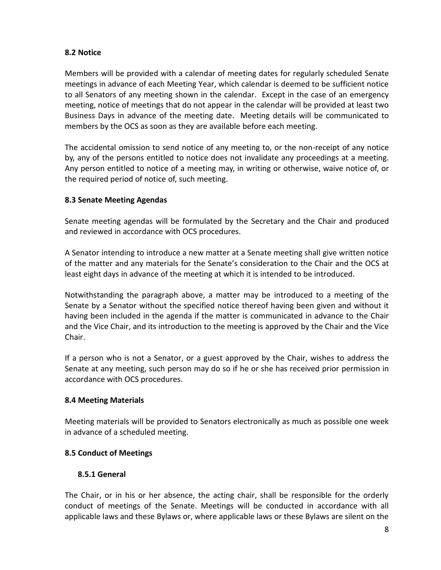## **8.2 Notice**

Members will be provided with a calendar of meeting dates for regularly scheduled Senate meetings in advance of each Meeting Year, which calendar is deemed to be sufficient notice to all Senators of any meeting shown in the calendar. Except in the case of an emergency meeting, notice of meetings that do not appear in the calendar will be provided at least two Business Days in advance of the meeting date. Meeting details will be communicated to members by the OCS as soon as they are available before each meeting.

The accidental omission to send notice of any meeting to, or the non-receipt of any notice by, any of the persons entitled to notice does not invalidate any proceedings at a meeting. Any person entitled to notice of a meeting may, in writing or otherwise, waive notice of, or the required period of notice of, such meeting.

# **8.3 Senate Meeting Agendas**

Senate meeting agendas will be formulated by the Secretary and the Chair and produced and reviewed in accordance with OCS procedures.

A Senator intending to introduce a new matter at a Senate meeting shall give written notice of the matter and any materials for the Senate's consideration to the Chair and the OCS at least eight days in advance of the meeting at which it is intended to be introduced.

Notwithstanding the paragraph above, a matter may be introduced to a meeting of the Senate by a Senator without the specified notice thereof having been given and without it having been included in the agenda if the matter is communicated in advance to the Chair and the Vice Chair, and its introduction to the meeting is approved by the Chair and the Vice Chair.

If a person who is not a Senator, or a guest approved by the Chair, wishes to address the Senate at any meeting, such person may do so if he or she has received prior permission in accordance with OCS procedures.

# **8.4 Meeting Materials**

Meeting materials will be provided to Senators electronically as much as possible one week in advance of a scheduled meeting.

# **8.5 Conduct of Meetings**

# **8.5.1 General**

The Chair, or in his or her absence, the acting chair, shall be responsible for the orderly conduct of meetings of the Senate. Meetings will be conducted in accordance with all applicable laws and these Bylaws or, where applicable laws or these Bylaws are silent on the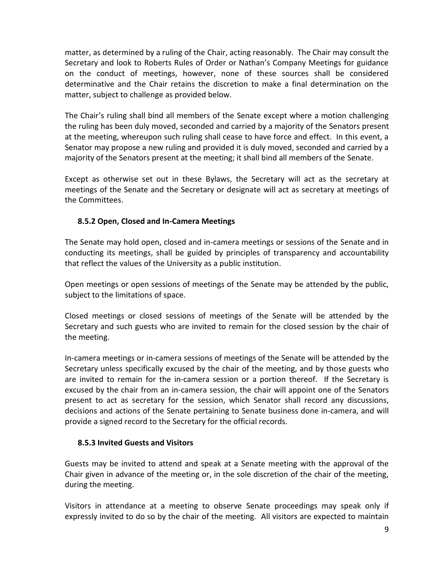matter, as determined by a ruling of the Chair, acting reasonably. The Chair may consult the Secretary and look to Roberts Rules of Order or Nathan's Company Meetings for guidance on the conduct of meetings, however, none of these sources shall be considered determinative and the Chair retains the discretion to make a final determination on the matter, subject to challenge as provided below.

The Chair's ruling shall bind all members of the Senate except where a motion challenging the ruling has been duly moved, seconded and carried by a majority of the Senators present at the meeting, whereupon such ruling shall cease to have force and effect. In this event, a Senator may propose a new ruling and provided it is duly moved, seconded and carried by a majority of the Senators present at the meeting; it shall bind all members of the Senate.

Except as otherwise set out in these Bylaws, the Secretary will act as the secretary at meetings of the Senate and the Secretary or designate will act as secretary at meetings of the Committees.

# **8.5.2 Open, Closed and In-Camera Meetings**

The Senate may hold open, closed and in-camera meetings or sessions of the Senate and in conducting its meetings, shall be guided by principles of transparency and accountability that reflect the values of the University as a public institution.

Open meetings or open sessions of meetings of the Senate may be attended by the public, subject to the limitations of space.

Closed meetings or closed sessions of meetings of the Senate will be attended by the Secretary and such guests who are invited to remain for the closed session by the chair of the meeting.

In-camera meetings or in-camera sessions of meetings of the Senate will be attended by the Secretary unless specifically excused by the chair of the meeting, and by those guests who are invited to remain for the in-camera session or a portion thereof. If the Secretary is excused by the chair from an in-camera session, the chair will appoint one of the Senators present to act as secretary for the session, which Senator shall record any discussions, decisions and actions of the Senate pertaining to Senate business done in-camera, and will provide a signed record to the Secretary for the official records.

# **8.5.3 Invited Guests and Visitors**

Guests may be invited to attend and speak at a Senate meeting with the approval of the Chair given in advance of the meeting or, in the sole discretion of the chair of the meeting, during the meeting.

Visitors in attendance at a meeting to observe Senate proceedings may speak only if expressly invited to do so by the chair of the meeting. All visitors are expected to maintain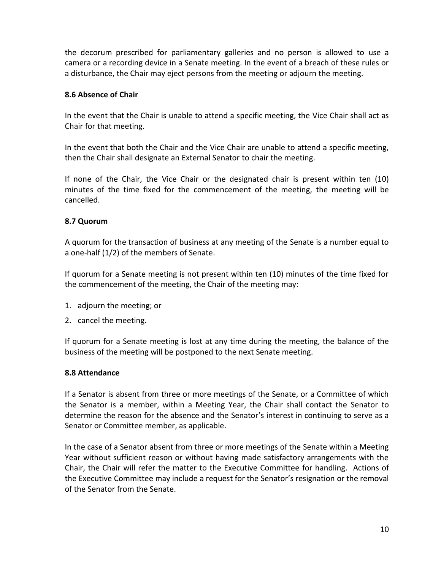the decorum prescribed for parliamentary galleries and no person is allowed to use a camera or a recording device in a Senate meeting. In the event of a breach of these rules or a disturbance, the Chair may eject persons from the meeting or adjourn the meeting.

## **8.6 Absence of Chair**

In the event that the Chair is unable to attend a specific meeting, the Vice Chair shall act as Chair for that meeting.

In the event that both the Chair and the Vice Chair are unable to attend a specific meeting, then the Chair shall designate an External Senator to chair the meeting.

If none of the Chair, the Vice Chair or the designated chair is present within ten (10) minutes of the time fixed for the commencement of the meeting, the meeting will be cancelled.

## **8.7 Quorum**

A quorum for the transaction of business at any meeting of the Senate is a number equal to a one-half (1/2) of the members of Senate.

If quorum for a Senate meeting is not present within ten (10) minutes of the time fixed for the commencement of the meeting, the Chair of the meeting may:

- 1. adjourn the meeting; or
- 2. cancel the meeting.

If quorum for a Senate meeting is lost at any time during the meeting, the balance of the business of the meeting will be postponed to the next Senate meeting.

### **8.8 Attendance**

If a Senator is absent from three or more meetings of the Senate, or a Committee of which the Senator is a member, within a Meeting Year, the Chair shall contact the Senator to determine the reason for the absence and the Senator's interest in continuing to serve as a Senator or Committee member, as applicable.

In the case of a Senator absent from three or more meetings of the Senate within a Meeting Year without sufficient reason or without having made satisfactory arrangements with the Chair, the Chair will refer the matter to the Executive Committee for handling. Actions of the Executive Committee may include a request for the Senator's resignation or the removal of the Senator from the Senate.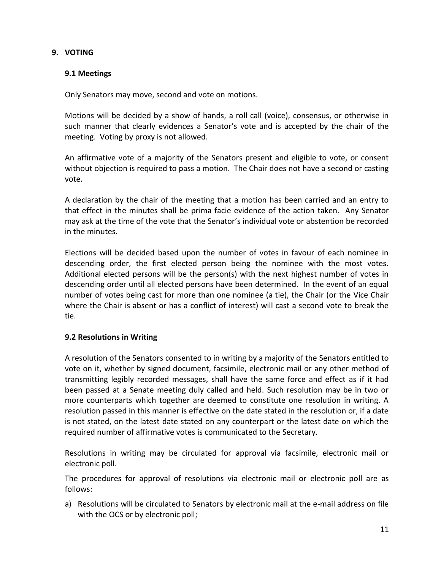## <span id="page-11-0"></span>**9. VOTING**

## **9.1 Meetings**

Only Senators may move, second and vote on motions.

Motions will be decided by a show of hands, a roll call (voice), consensus, or otherwise in such manner that clearly evidences a Senator's vote and is accepted by the chair of the meeting. Voting by proxy is not allowed.

An affirmative vote of a majority of the Senators present and eligible to vote, or consent without objection is required to pass a motion. The Chair does not have a second or casting vote.

A declaration by the chair of the meeting that a motion has been carried and an entry to that effect in the minutes shall be prima facie evidence of the action taken. Any Senator may ask at the time of the vote that the Senator's individual vote or abstention be recorded in the minutes.

Elections will be decided based upon the number of votes in favour of each nominee in descending order, the first elected person being the nominee with the most votes. Additional elected persons will be the person(s) with the next highest number of votes in descending order until all elected persons have been determined. In the event of an equal number of votes being cast for more than one nominee (a tie), the Chair (or the Vice Chair where the Chair is absent or has a conflict of interest) will cast a second vote to break the tie.

### **9.2 Resolutions in Writing**

A resolution of the Senators consented to in writing by a majority of the Senators entitled to vote on it, whether by signed document, facsimile, electronic mail or any other method of transmitting legibly recorded messages, shall have the same force and effect as if it had been passed at a Senate meeting duly called and held. Such resolution may be in two or more counterparts which together are deemed to constitute one resolution in writing. A resolution passed in this manner is effective on the date stated in the resolution or, if a date is not stated, on the latest date stated on any counterpart or the latest date on which the required number of affirmative votes is communicated to the Secretary.

Resolutions in writing may be circulated for approval via facsimile, electronic mail or electronic poll.

The procedures for approval of resolutions via electronic mail or electronic poll are as follows:

a) Resolutions will be circulated to Senators by electronic mail at the e-mail address on file with the OCS or by electronic poll;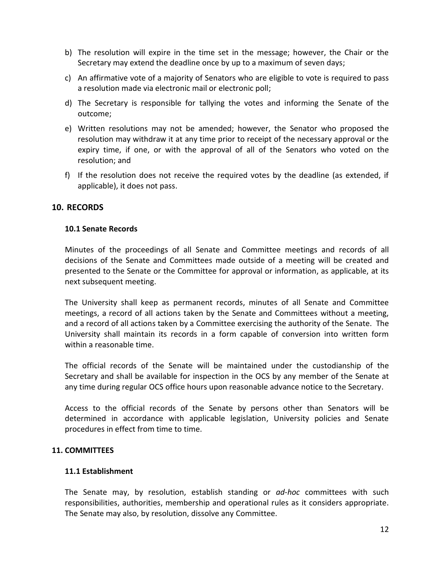- b) The resolution will expire in the time set in the message; however, the Chair or the Secretary may extend the deadline once by up to a maximum of seven days;
- c) An affirmative vote of a majority of Senators who are eligible to vote is required to pass a resolution made via electronic mail or electronic poll;
- d) The Secretary is responsible for tallying the votes and informing the Senate of the outcome;
- e) Written resolutions may not be amended; however, the Senator who proposed the resolution may withdraw it at any time prior to receipt of the necessary approval or the expiry time, if one, or with the approval of all of the Senators who voted on the resolution; and
- f) If the resolution does not receive the required votes by the deadline (as extended, if applicable), it does not pass.

# <span id="page-12-0"></span>**10. RECORDS**

## **10.1 Senate Records**

Minutes of the proceedings of all Senate and Committee meetings and records of all decisions of the Senate and Committees made outside of a meeting will be created and presented to the Senate or the Committee for approval or information, as applicable, at its next subsequent meeting.

The University shall keep as permanent records, minutes of all Senate and Committee meetings, a record of all actions taken by the Senate and Committees without a meeting, and a record of all actions taken by a Committee exercising the authority of the Senate. The University shall maintain its records in a form capable of conversion into written form within a reasonable time.

The official records of the Senate will be maintained under the custodianship of the Secretary and shall be available for inspection in the OCS by any member of the Senate at any time during regular OCS office hours upon reasonable advance notice to the Secretary.

Access to the official records of the Senate by persons other than Senators will be determined in accordance with applicable legislation, University policies and Senate procedures in effect from time to time.

### <span id="page-12-1"></span>**11. COMMITTEES**

### **11.1 Establishment**

The Senate may, by resolution, establish standing or *ad-hoc* committees with such responsibilities, authorities, membership and operational rules as it considers appropriate. The Senate may also, by resolution, dissolve any Committee.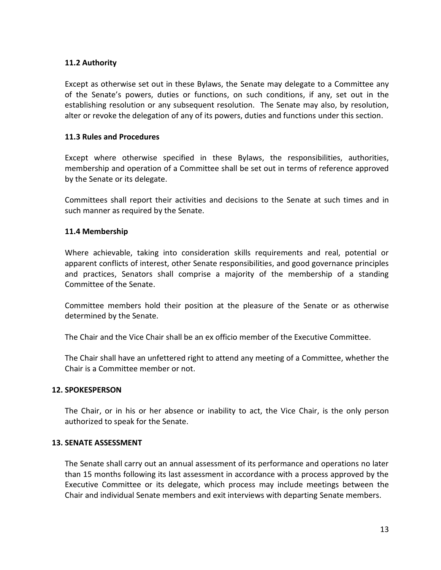# **11.2 Authority**

Except as otherwise set out in these Bylaws, the Senate may delegate to a Committee any of the Senate's powers, duties or functions, on such conditions, if any, set out in the establishing resolution or any subsequent resolution. The Senate may also, by resolution, alter or revoke the delegation of any of its powers, duties and functions under this section.

### **11.3 Rules and Procedures**

Except where otherwise specified in these Bylaws, the responsibilities, authorities, membership and operation of a Committee shall be set out in terms of reference approved by the Senate or its delegate.

Committees shall report their activities and decisions to the Senate at such times and in such manner as required by the Senate.

### **11.4 Membership**

Where achievable, taking into consideration skills requirements and real, potential or apparent conflicts of interest, other Senate responsibilities, and good governance principles and practices, Senators shall comprise a majority of the membership of a standing Committee of the Senate.

Committee members hold their position at the pleasure of the Senate or as otherwise determined by the Senate.

The Chair and the Vice Chair shall be an ex officio member of the Executive Committee.

The Chair shall have an unfettered right to attend any meeting of a Committee, whether the Chair is a Committee member or not.

### <span id="page-13-0"></span>**12. SPOKESPERSON**

The Chair, or in his or her absence or inability to act, the Vice Chair, is the only person authorized to speak for the Senate.

#### <span id="page-13-1"></span>**13. SENATE ASSESSMENT**

The Senate shall carry out an annual assessment of its performance and operations no later than 15 months following its last assessment in accordance with a process approved by the Executive Committee or its delegate, which process may include meetings between the Chair and individual Senate members and exit interviews with departing Senate members.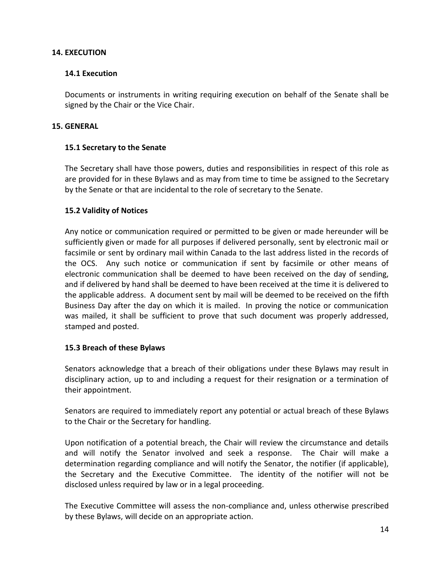## <span id="page-14-0"></span>**14. EXECUTION**

## **14.1 Execution**

Documents or instruments in writing requiring execution on behalf of the Senate shall be signed by the Chair or the Vice Chair.

## <span id="page-14-1"></span>**15. GENERAL**

## **15.1 Secretary to the Senate**

The Secretary shall have those powers, duties and responsibilities in respect of this role as are provided for in these Bylaws and as may from time to time be assigned to the Secretary by the Senate or that are incidental to the role of secretary to the Senate.

## **15.2 Validity of Notices**

Any notice or communication required or permitted to be given or made hereunder will be sufficiently given or made for all purposes if delivered personally, sent by electronic mail or facsimile or sent by ordinary mail within Canada to the last address listed in the records of the OCS. Any such notice or communication if sent by facsimile or other means of electronic communication shall be deemed to have been received on the day of sending, and if delivered by hand shall be deemed to have been received at the time it is delivered to the applicable address. A document sent by mail will be deemed to be received on the fifth Business Day after the day on which it is mailed. In proving the notice or communication was mailed, it shall be sufficient to prove that such document was properly addressed, stamped and posted.

### **15.3 Breach of these Bylaws**

Senators acknowledge that a breach of their obligations under these Bylaws may result in disciplinary action, up to and including a request for their resignation or a termination of their appointment.

Senators are required to immediately report any potential or actual breach of these Bylaws to the Chair or the Secretary for handling.

Upon notification of a potential breach, the Chair will review the circumstance and details and will notify the Senator involved and seek a response. The Chair will make a determination regarding compliance and will notify the Senator, the notifier (if applicable), the Secretary and the Executive Committee. The identity of the notifier will not be disclosed unless required by law or in a legal proceeding.

The Executive Committee will assess the non-compliance and, unless otherwise prescribed by these Bylaws, will decide on an appropriate action.